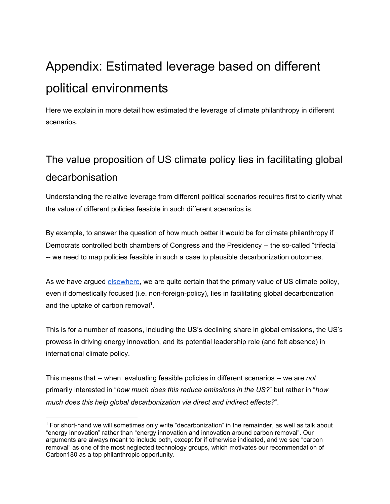# Appendix: Estimated leverage based on different political environments

Here we explain in more detail how estimated the leverage of climate philanthropy in different scenarios.

## The value proposition of US climate policy lies in facilitating global decarbonisation

Understanding the relative leverage from different political scenarios requires first to clarify what the value of different policies feasible in such different scenarios is.

By example, to answer the question of how much better it would be for climate philanthropy if Democrats controlled both chambers of Congress and the Presidency -- the so-called "trifecta" -- we need to map policies feasible in such a case to plausible decarbonization outcomes.

As we have argued [elsewhere](https://founderspledge.com/stories/climate-change-executive-summary), we are quite certain that the primary value of US climate policy, even if domestically focused (i.e. non-foreign-policy), lies in facilitating global decarbonization and the uptake of carbon removal<sup>1</sup>.

This is for a number of reasons, including the US's declining share in global emissions, the US's prowess in driving energy innovation, and its potential leadership role (and felt absence) in international climate policy.

This means that -- when evaluating feasible policies in different scenarios -- we are *not* primarily interested in "*how much does this reduce emissions in the US?*" but rather in "*how much does this help global decarbonization via direct and indirect effects?*".

<sup>1</sup> For short-hand we will sometimes only write "decarbonization" in the remainder, as well as talk about "energy innovation" rather than "energy innovation and innovation around carbon removal". Our arguments are always meant to include both, except for if otherwise indicated, and we see "carbon removal" as one of the most neglected technology groups, which motivates our recommendation of Carbon180 as a top philanthropic opportunity.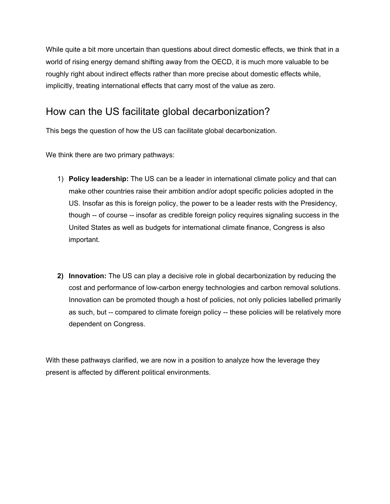While quite a bit more uncertain than questions about direct domestic effects, we think that in a world of rising energy demand shifting away from the OECD, it is much more valuable to be roughly right about indirect effects rather than more precise about domestic effects while, implicitly, treating international effects that carry most of the value as zero.

## How can the US facilitate global decarbonization?

This begs the question of how the US can facilitate global decarbonization.

We think there are two primary pathways:

- 1) **Policy leadership:** The US can be a leader in international climate policy and that can make other countries raise their ambition and/or adopt specific policies adopted in the US. Insofar as this is foreign policy, the power to be a leader rests with the Presidency, though -- of course -- insofar as credible foreign policy requires signaling success in the United States as well as budgets for international climate finance, Congress is also important.
- **2) Innovation:** The US can play a decisive role in global decarbonization by reducing the cost and performance of low-carbon energy technologies and carbon removal solutions. Innovation can be promoted though a host of policies, not only policies labelled primarily as such, but -- compared to climate foreign policy -- these policies will be relatively more dependent on Congress.

With these pathways clarified, we are now in a position to analyze how the leverage they present is affected by different political environments.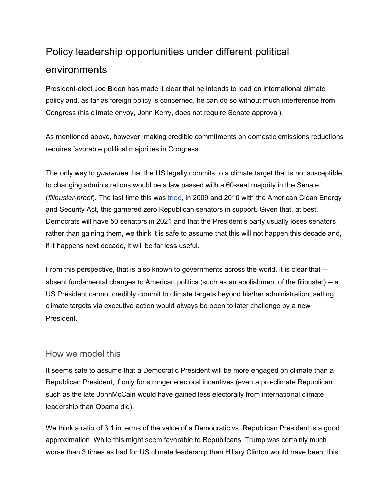## Policy leadership opportunities under different political environments

President-elect Joe Biden has made it clear that he intends to lead on international climate policy and, as far as foreign policy is concerned, he can do so without much interference from Congress (his climate envoy, John Kerry, does not require Senate approval).

As mentioned above, however, making credible commitments on domestic emissions reductions requires favorable political majorities in Congress.

The only way to *guarantee* that the US legally commits to a climate target that is not susceptible to changing administrations would be a law passed with a 60-seat majority in the Senate (*filibuster-proof*). The last time this was [tried](https://www.newyorker.com/magazine/2010/10/11/as-the-world-burns), in 2009 and 2010 with the American Clean Energy and Security Act, this garnered zero Republican senators in support. Given that, at best, Democrats will have 50 senators in 2021 and that the President's party usually loses senators rather than gaining them, we think it is safe to assume that this will not happen this decade and, if it happens next decade, it will be far less useful.

From this perspective, that is also known to governments across the world, it is clear that - absent fundamental changes to American politics (such as an abolishment of the filibuster) -- a US President cannot credibly commit to climate targets beyond his/her administration, setting climate targets via executive action would always be open to later challenge by a new President.

#### How we model this

It seems safe to assume that a Democratic President will be more engaged on climate than a Republican President, if only for stronger electoral incentives (even a pro-climate Republican such as the late JohnMcCain would have gained less electorally from international climate leadership than Obama did).

We think a ratio of 3:1 in terms of the value of a Democratic vs. Republican President is a good approximation. While this might seem favorable to Republicans, Trump was certainly much worse than 3 times as bad for US climate leadership than Hillary Clinton would have been, this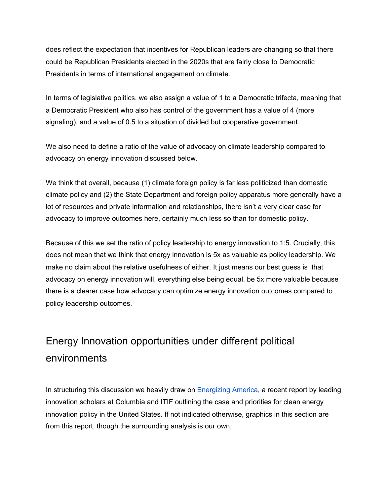does reflect the expectation that incentives for Republican leaders are changing so that there could be Republican Presidents elected in the 2020s that are fairly close to Democratic Presidents in terms of international engagement on climate.

In terms of legislative politics, we also assign a value of 1 to a Democratic trifecta, meaning that a Democratic President who also has control of the government has a value of 4 (more signaling), and a value of 0.5 to a situation of divided but cooperative government.

We also need to define a ratio of the value of advocacy on climate leadership compared to advocacy on energy innovation discussed below.

We think that overall, because (1) climate foreign policy is far less politicized than domestic climate policy and (2) the State Department and foreign policy apparatus more generally have a lot of resources and private information and relationships, there isn't a very clear case for advocacy to improve outcomes here, certainly much less so than for domestic policy.

Because of this we set the ratio of policy leadership to energy innovation to 1:5. Crucially, this does not mean that we think that energy innovation is 5x as valuable as policy leadership. We make no claim about the relative usefulness of either. It just means our best guess is that advocacy on energy innovation will, everything else being equal, be 5x more valuable because there is a clearer case how advocacy can optimize energy innovation outcomes compared to policy leadership outcomes.

## Energy Innovation opportunities under different political environments

In structuring this discussion we heavily draw on [Energizing](https://www.energypolicy.columbia.edu/sites/default/files/file-uploads/EnergizingAmerica_FINAL_DIGITAL.pdf) America, a recent report by leading innovation scholars at Columbia and ITIF outlining the case and priorities for clean energy innovation policy in the United States. If not indicated otherwise, graphics in this section are from this report, though the surrounding analysis is our own.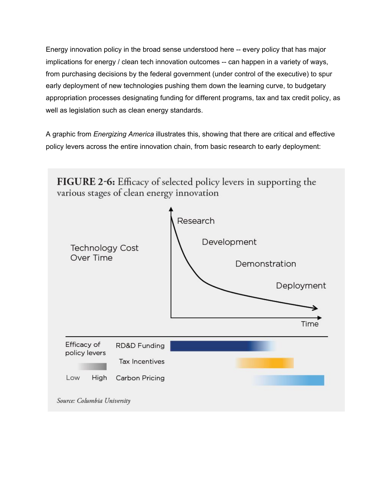Energy innovation policy in the broad sense understood here -- every policy that has major implications for energy / clean tech innovation outcomes -- can happen in a variety of ways, from purchasing decisions by the federal government (under control of the executive) to spur early deployment of new technologies pushing them down the learning curve, to budgetary appropriation processes designating funding for different programs, tax and tax credit policy, as well as legislation such as clean energy standards.

A graphic from *Energizing America* illustrates this, showing that there are critical and effective policy levers across the entire innovation chain, from basic research to early deployment:

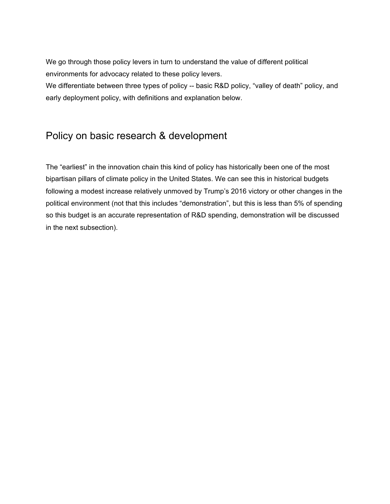We go through those policy levers in turn to understand the value of different political environments for advocacy related to these policy levers.

We differentiate between three types of policy -- basic R&D policy, "valley of death" policy, and early deployment policy, with definitions and explanation below.

### Policy on basic research & development

The "earliest" in the innovation chain this kind of policy has historically been one of the most bipartisan pillars of climate policy in the United States. We can see this in historical budgets following a modest increase relatively unmoved by Trump's 2016 victory or other changes in the political environment (not that this includes "demonstration", but this is less than 5% of spending so this budget is an accurate representation of R&D spending, demonstration will be discussed in the next subsection).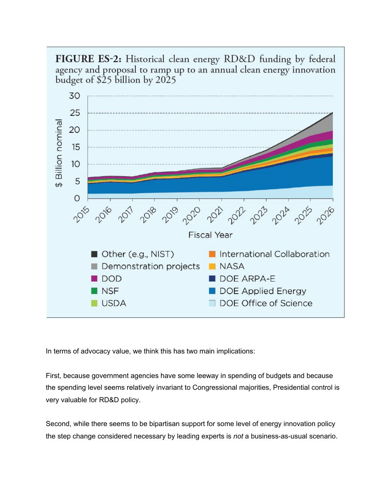FIGURE ES-2: Historical clean energy RD&D funding by federal agency and proposal to ramp up to an annual clean energy innovation budget of \$25 billion by 2025



In terms of advocacy value, we think this has two main implications:

First, because government agencies have some leeway in spending of budgets and because the spending level seems relatively invariant to Congressional majorities, Presidential control is very valuable for RD&D policy.

Second, while there seems to be bipartisan support for some level of energy innovation policy the step change considered necessary by leading experts is *not* a business-as-usual scenario.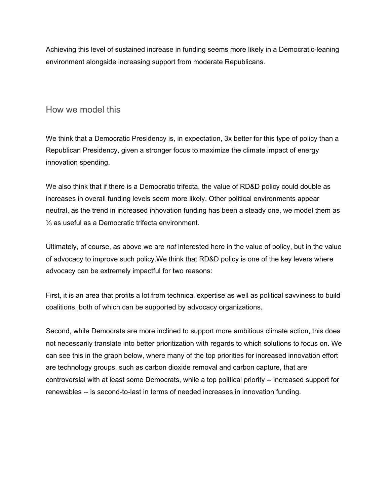Achieving this level of sustained increase in funding seems more likely in a Democratic-leaning environment alongside increasing support from moderate Republicans.

#### How we model this

We think that a Democratic Presidency is, in expectation, 3x better for this type of policy than a Republican Presidency, given a stronger focus to maximize the climate impact of energy innovation spending.

We also think that if there is a Democratic trifecta, the value of RD&D policy could double as increases in overall funding levels seem more likely. Other political environments appear neutral, as the trend in increased innovation funding has been a steady one, we model them as ⅓ as useful as a Democratic trifecta environment.

Ultimately, of course, as above we are *not* interested here in the value of policy, but in the value of advocacy to improve such policy.We think that RD&D policy is one of the key levers where advocacy can be extremely impactful for two reasons:

First, it is an area that profits a lot from technical expertise as well as political savviness to build coalitions, both of which can be supported by advocacy organizations.

Second, while Democrats are more inclined to support more ambitious climate action, this does not necessarily translate into better prioritization with regards to which solutions to focus on. We can see this in the graph below, where many of the top priorities for increased innovation effort are technology groups, such as carbon dioxide removal and carbon capture, that are controversial with at least some Democrats, while a top political priority -- increased support for renewables -- is second-to-last in terms of needed increases in innovation funding.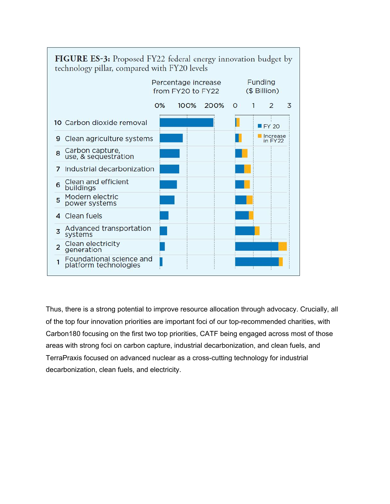

Thus, there is a strong potential to improve resource allocation through advocacy. Crucially, all of the top four innovation priorities are important foci of our top-recommended charities, with Carbon180 focusing on the first two top priorities, CATF being engaged across most of those areas with strong foci on carbon capture, industrial decarbonization, and clean fuels, and TerraPraxis focused on advanced nuclear as a cross-cutting technology for industrial decarbonization, clean fuels, and electricity.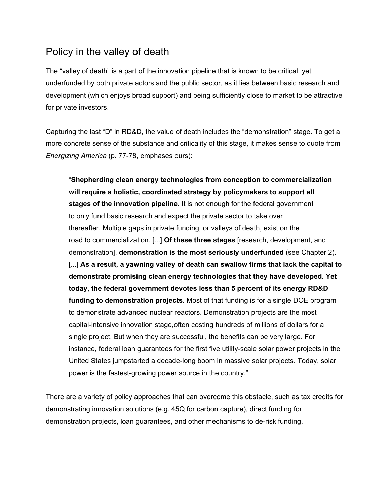### Policy in the valley of death

The "valley of death" is a part of the innovation pipeline that is known to be critical, yet underfunded by both private actors and the public sector, as it lies between basic research and development (which enjoys broad support) and being sufficiently close to market to be attractive for private investors.

Capturing the last "D" in RD&D, the value of death includes the "demonstration" stage. To get a more concrete sense of the substance and criticality of this stage, it makes sense to quote from *Energizing America* (p. 77-78, emphases ours):

"**Shepherding clean energy technologies from conception to commercialization will require a holistic, coordinated strategy by policymakers to support all stages of the innovation pipeline.** It is not enough for the federal government to only fund basic research and expect the private sector to take over thereafter. Multiple gaps in private funding, or valleys of death, exist on the road to commercialization. [...] **Of these three stages** [research, development, and demonstration], **demonstration is the most seriously underfunded** (see Chapter 2). [...] **As a result, a yawning valley of death can swallow firms that lack the capital to demonstrate promising clean energy technologies that they have developed. Yet today, the federal government devotes less than 5 percent of its energy RD&D funding to demonstration projects.** Most of that funding is for a single DOE program to demonstrate advanced nuclear reactors. Demonstration projects are the most capital-intensive innovation stage,often costing hundreds of millions of dollars for a single project. But when they are successful, the benefits can be very large. For instance, federal loan guarantees for the first five utility-scale solar power projects in the United States jumpstarted a decade-long boom in massive solar projects. Today, solar power is the fastest-growing power source in the country."

There are a variety of policy approaches that can overcome this obstacle, such as tax credits for demonstrating innovation solutions (e.g. 45Q for carbon capture), direct funding for demonstration projects, loan guarantees, and other mechanisms to de-risk funding.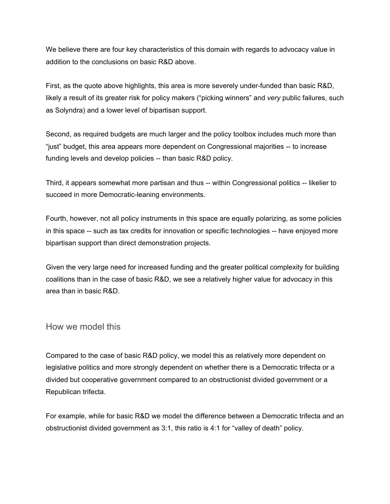We believe there are four key characteristics of this domain with regards to advocacy value in addition to the conclusions on basic R&D above.

First, as the quote above highlights, this area is more severely under-funded than basic R&D, likely a result of its greater risk for policy makers ("picking winners" and *very* public failures, such as Solyndra) and a lower level of bipartisan support.

Second, as required budgets are much larger and the policy toolbox includes much more than "just" budget, this area appears more dependent on Congressional majorities -- to increase funding levels and develop policies -- than basic R&D policy.

Third, it appears somewhat more partisan and thus -- within Congressional politics -- likelier to succeed in more Democratic-leaning environments.

Fourth, however, not all policy instruments in this space are equally polarizing, as some policies in this space -- such as tax credits for innovation or specific technologies -- have enjoyed more bipartisan support than direct demonstration projects.

Given the very large need for increased funding and the greater political complexity for building coalitions than in the case of basic R&D, we see a relatively higher value for advocacy in this area than in basic R&D.

#### How we model this

Compared to the case of basic R&D policy, we model this as relatively more dependent on legislative politics and more strongly dependent on whether there is a Democratic trifecta or a divided but cooperative government compared to an obstructionist divided government or a Republican trifecta.

For example, while for basic R&D we model the difference between a Democratic trifecta and an obstructionist divided government as 3:1, this ratio is 4:1 for "valley of death" policy.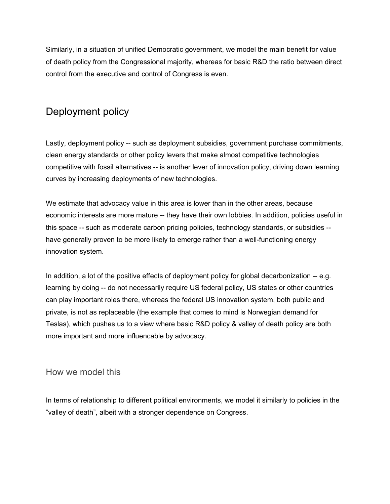Similarly, in a situation of unified Democratic government, we model the main benefit for value of death policy from the Congressional majority, whereas for basic R&D the ratio between direct control from the executive and control of Congress is even.

### Deployment policy

Lastly, deployment policy -- such as deployment subsidies, government purchase commitments, clean energy standards or other policy levers that make almost competitive technologies competitive with fossil alternatives -- is another lever of innovation policy, driving down learning curves by increasing deployments of new technologies.

We estimate that advocacy value in this area is lower than in the other areas, because economic interests are more mature -- they have their own lobbies. In addition, policies useful in this space -- such as moderate carbon pricing policies, technology standards, or subsidies - have generally proven to be more likely to emerge rather than a well-functioning energy innovation system.

In addition, a lot of the positive effects of deployment policy for global decarbonization -- e.g. learning by doing -- do not necessarily require US federal policy, US states or other countries can play important roles there, whereas the federal US innovation system, both public and private, is not as replaceable (the example that comes to mind is Norwegian demand for Teslas), which pushes us to a view where basic R&D policy & valley of death policy are both more important and more influencable by advocacy.

#### How we model this

In terms of relationship to different political environments, we model it similarly to policies in the "valley of death", albeit with a stronger dependence on Congress.